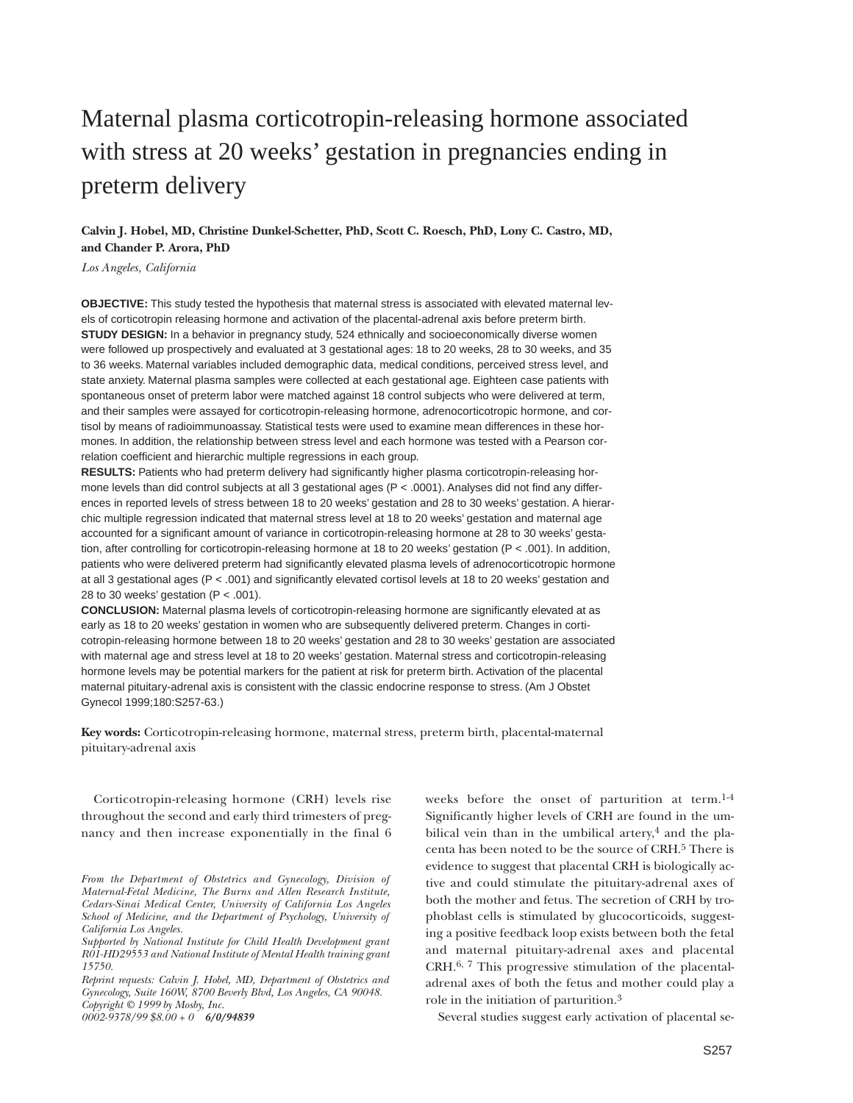# Maternal plasma corticotropin-releasing hormone associated with stress at 20 weeks' gestation in pregnancies ending in preterm delivery

**Calvin J. Hobel, MD, Christine Dunkel-Schetter, PhD, Scott C. Roesch, PhD, Lony C. Castro, MD, and Chander P. Arora, PhD**

*Los Angeles, California*

**OBJECTIVE:** This study tested the hypothesis that maternal stress is associated with elevated maternal levels of corticotropin releasing hormone and activation of the placental-adrenal axis before preterm birth. **STUDY DESIGN:** In a behavior in pregnancy study, 524 ethnically and socioeconomically diverse women were followed up prospectively and evaluated at 3 gestational ages: 18 to 20 weeks, 28 to 30 weeks, and 35 to 36 weeks. Maternal variables included demographic data, medical conditions, perceived stress level, and state anxiety. Maternal plasma samples were collected at each gestational age. Eighteen case patients with spontaneous onset of preterm labor were matched against 18 control subjects who were delivered at term, and their samples were assayed for corticotropin-releasing hormone, adrenocorticotropic hormone, and cortisol by means of radioimmunoassay. Statistical tests were used to examine mean differences in these hormones. In addition, the relationship between stress level and each hormone was tested with a Pearson correlation coefficient and hierarchic multiple regressions in each group.

**RESULTS:** Patients who had preterm delivery had significantly higher plasma corticotropin-releasing hormone levels than did control subjects at all 3 gestational ages (P < .0001). Analyses did not find any differences in reported levels of stress between 18 to 20 weeks' gestation and 28 to 30 weeks' gestation. A hierarchic multiple regression indicated that maternal stress level at 18 to 20 weeks' gestation and maternal age accounted for a significant amount of variance in corticotropin-releasing hormone at 28 to 30 weeks' gestation, after controlling for corticotropin-releasing hormone at 18 to 20 weeks' gestation (P < .001). In addition, patients who were delivered preterm had significantly elevated plasma levels of adrenocorticotropic hormone at all 3 gestational ages (P < .001) and significantly elevated cortisol levels at 18 to 20 weeks' gestation and 28 to 30 weeks' gestation ( $P < .001$ ).

**CONCLUSION:** Maternal plasma levels of corticotropin-releasing hormone are significantly elevated at as early as 18 to 20 weeks' gestation in women who are subsequently delivered preterm. Changes in corticotropin-releasing hormone between 18 to 20 weeks' gestation and 28 to 30 weeks' gestation are associated with maternal age and stress level at 18 to 20 weeks' gestation. Maternal stress and corticotropin-releasing hormone levels may be potential markers for the patient at risk for preterm birth. Activation of the placental maternal pituitary-adrenal axis is consistent with the classic endocrine response to stress. (Am J Obstet Gynecol 1999;180:S257-63.)

**Key words:** Corticotropin-releasing hormone, maternal stress, preterm birth, placental-maternal pituitary-adrenal axis

Corticotropin-releasing hormone (CRH) levels rise throughout the second and early third trimesters of pregnancy and then increase exponentially in the final 6 weeks before the onset of parturition at term.1-4 Significantly higher levels of CRH are found in the umbilical vein than in the umbilical artery, $4$  and the placenta has been noted to be the source of CRH.5 There is evidence to suggest that placental CRH is biologically active and could stimulate the pituitary-adrenal axes of both the mother and fetus. The secretion of CRH by trophoblast cells is stimulated by glucocorticoids, suggesting a positive feedback loop exists between both the fetal and maternal pituitary-adrenal axes and placental CRH.6, 7 This progressive stimulation of the placentaladrenal axes of both the fetus and mother could play a role in the initiation of parturition.3

Several studies suggest early activation of placental se-

*From the Department of Obstetrics and Gynecology, Division of Maternal-Fetal Medicine, The Burns and Allen Research Institute, Cedars-Sinai Medical Center, University of California Los Angeles School of Medicine, and the Department of Psychology, University of California Los Angeles.*

*Supported by National Institute for Child Health Development grant R01-HD29553 and National Institute of Mental Health training grant 15750.*

*Reprint requests: Calvin J. Hobel, MD, Department of Obstetrics and Gynecology, Suite 160W, 8700 Beverly Blvd, Los Angeles, CA 90048. Copyright © 1999 by Mosby, Inc. 0002-9378/99 \$8.00 + 0 6/0/94839*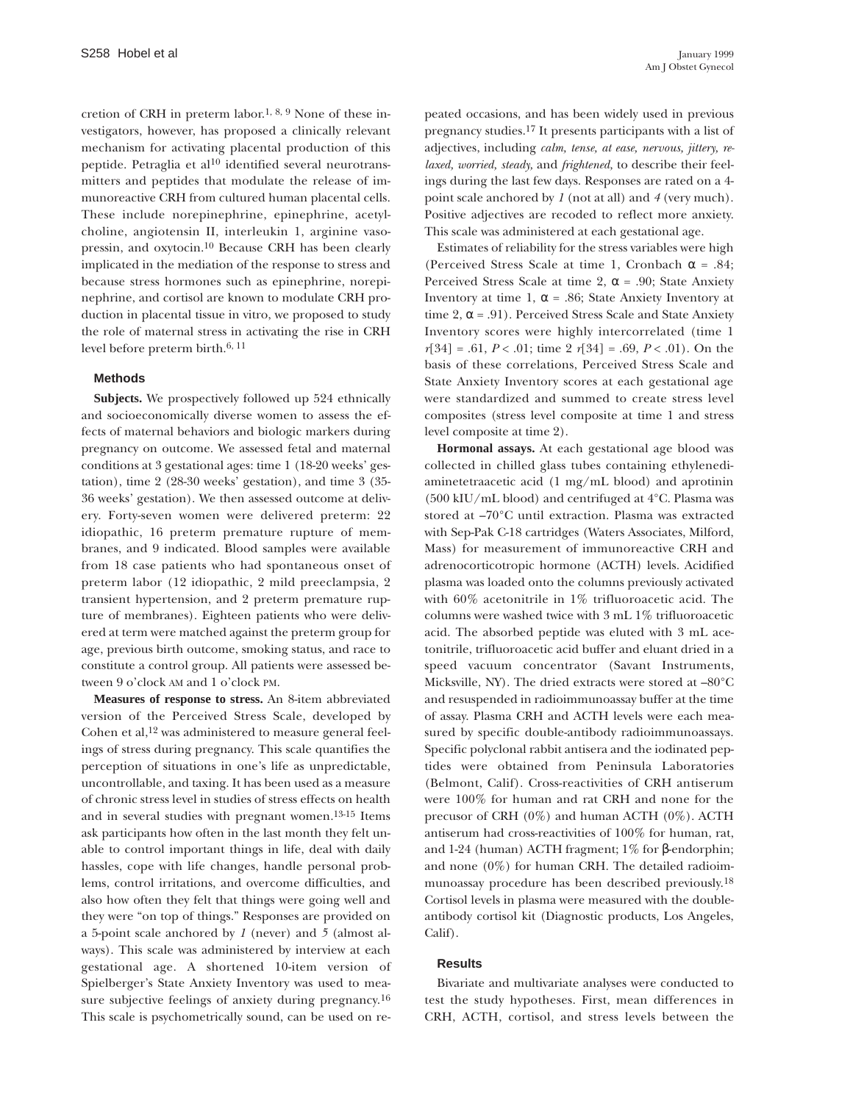cretion of CRH in preterm labor.1, 8, 9 None of these investigators, however, has proposed a clinically relevant mechanism for activating placental production of this peptide. Petraglia et al<sup>10</sup> identified several neurotransmitters and peptides that modulate the release of immunoreactive CRH from cultured human placental cells. These include norepinephrine, epinephrine, acetylcholine, angiotensin II, interleukin 1, arginine vasopressin, and oxytocin.10 Because CRH has been clearly implicated in the mediation of the response to stress and because stress hormones such as epinephrine, norepinephrine, and cortisol are known to modulate CRH production in placental tissue in vitro, we proposed to study the role of maternal stress in activating the rise in CRH level before preterm birth.6, 11

### **Methods**

**Subjects.** We prospectively followed up 524 ethnically and socioeconomically diverse women to assess the effects of maternal behaviors and biologic markers during pregnancy on outcome. We assessed fetal and maternal conditions at 3 gestational ages: time 1 (18-20 weeks' gestation), time 2 (28-30 weeks' gestation), and time 3 (35- 36 weeks' gestation). We then assessed outcome at delivery. Forty-seven women were delivered preterm: 22 idiopathic, 16 preterm premature rupture of membranes, and 9 indicated. Blood samples were available from 18 case patients who had spontaneous onset of preterm labor (12 idiopathic, 2 mild preeclampsia, 2 transient hypertension, and 2 preterm premature rupture of membranes). Eighteen patients who were delivered at term were matched against the preterm group for age, previous birth outcome, smoking status, and race to constitute a control group. All patients were assessed between 9 o'clock AM and 1 o'clock PM.

**Measures of response to stress.** An 8-item abbreviated version of the Perceived Stress Scale, developed by Cohen et al,12 was administered to measure general feelings of stress during pregnancy. This scale quantifies the perception of situations in one's life as unpredictable, uncontrollable, and taxing. It has been used as a measure of chronic stress level in studies of stress effects on health and in several studies with pregnant women.13-15 Items ask participants how often in the last month they felt unable to control important things in life, deal with daily hassles, cope with life changes, handle personal problems, control irritations, and overcome difficulties, and also how often they felt that things were going well and they were "on top of things." Responses are provided on a 5-point scale anchored by *1* (never) and *5* (almost always). This scale was administered by interview at each gestational age. A shortened 10-item version of Spielberger's State Anxiety Inventory was used to measure subjective feelings of anxiety during pregnancy.16 This scale is psychometrically sound, can be used on repeated occasions, and has been widely used in previous pregnancy studies.17 It presents participants with a list of adjectives, including *calm, tense, at ease, nervous, jittery, relaxed, worried, steady,* and *frightened,* to describe their feelings during the last few days. Responses are rated on a 4 point scale anchored by *1* (not at all) and *4* (very much). Positive adjectives are recoded to reflect more anxiety. This scale was administered at each gestational age.

Estimates of reliability for the stress variables were high (Perceived Stress Scale at time 1, Cronbach  $\alpha$  = .84; Perceived Stress Scale at time 2,  $\alpha$  = .90; State Anxiety Inventory at time 1,  $\alpha$  = .86; State Anxiety Inventory at time 2,  $\alpha$  = .91). Perceived Stress Scale and State Anxiety Inventory scores were highly intercorrelated (time 1 *r*[34] = .61, *P* < .01; time 2 *r*[34] = .69, *P* < .01). On the basis of these correlations, Perceived Stress Scale and State Anxiety Inventory scores at each gestational age were standardized and summed to create stress level composites (stress level composite at time 1 and stress level composite at time 2).

**Hormonal assays.** At each gestational age blood was collected in chilled glass tubes containing ethylenediaminetetraacetic acid (1 mg/mL blood) and aprotinin (500 kIU/mL blood) and centrifuged at 4°C. Plasma was stored at –70°C until extraction. Plasma was extracted with Sep-Pak C-18 cartridges (Waters Associates, Milford, Mass) for measurement of immunoreactive CRH and adrenocorticotropic hormone (ACTH) levels. Acidified plasma was loaded onto the columns previously activated with 60% acetonitrile in 1% trifluoroacetic acid. The columns were washed twice with 3 mL 1% trifluoroacetic acid. The absorbed peptide was eluted with 3 mL acetonitrile, trifluoroacetic acid buffer and eluant dried in a speed vacuum concentrator (Savant Instruments, Micksville, NY). The dried extracts were stored at –80°C and resuspended in radioimmunoassay buffer at the time of assay. Plasma CRH and ACTH levels were each measured by specific double-antibody radioimmunoassays. Specific polyclonal rabbit antisera and the iodinated peptides were obtained from Peninsula Laboratories (Belmont, Calif). Cross-reactivities of CRH antiserum were 100% for human and rat CRH and none for the precusor of CRH (0%) and human ACTH (0%). ACTH antiserum had cross-reactivities of 100% for human, rat, and 1-24 (human) ACTH fragment; 1% for β-endorphin; and none (0%) for human CRH. The detailed radioimmunoassay procedure has been described previously.18 Cortisol levels in plasma were measured with the doubleantibody cortisol kit (Diagnostic products, Los Angeles, Calif).

# **Results**

Bivariate and multivariate analyses were conducted to test the study hypotheses. First, mean differences in CRH, ACTH, cortisol, and stress levels between the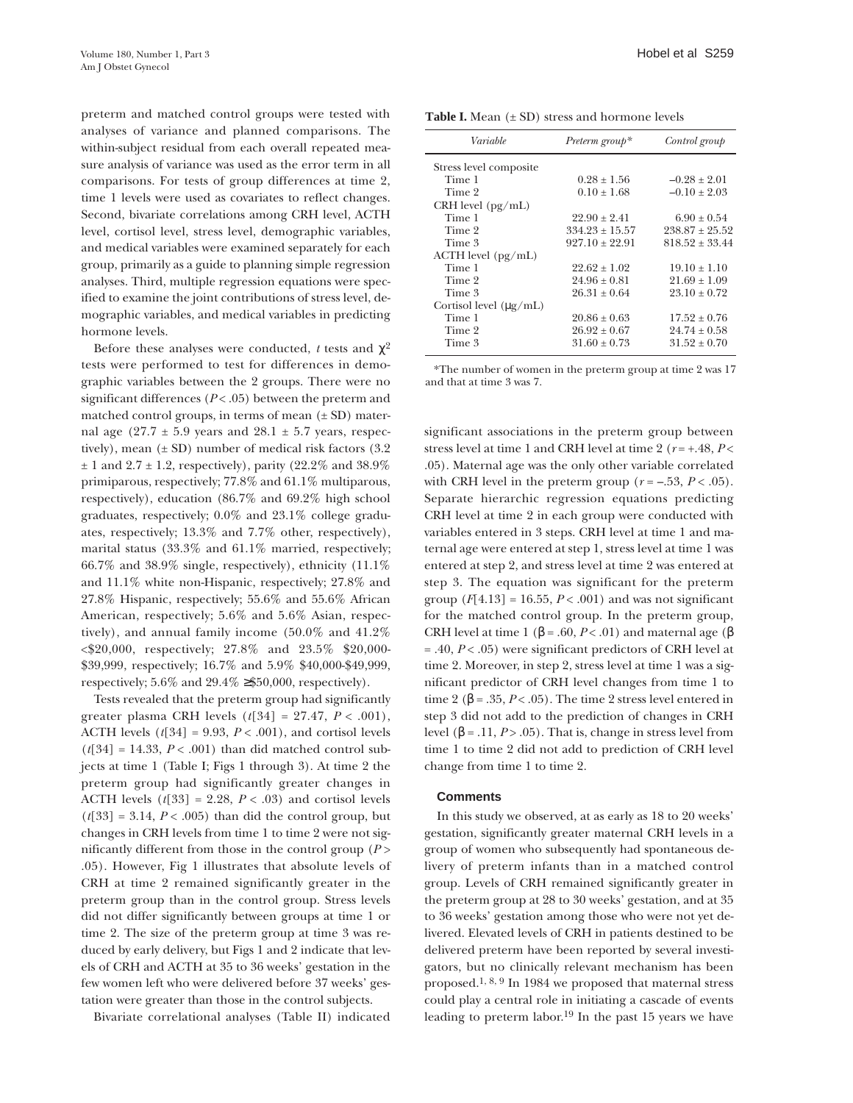preterm and matched control groups were tested with analyses of variance and planned comparisons. The within-subject residual from each overall repeated measure analysis of variance was used as the error term in all comparisons. For tests of group differences at time 2, time 1 levels were used as covariates to reflect changes. Second, bivariate correlations among CRH level, ACTH level, cortisol level, stress level, demographic variables, and medical variables were examined separately for each group, primarily as a guide to planning simple regression analyses. Third, multiple regression equations were specified to examine the joint contributions of stress level, demographic variables, and medical variables in predicting hormone levels.

Before these analyses were conducted, *t* tests and  $\chi^2$ tests were performed to test for differences in demographic variables between the 2 groups. There were no significant differences  $(P < .05)$  between the preterm and matched control groups, in terms of mean  $(\pm SD)$  maternal age  $(27.7 \pm 5.9 \text{ years}$  and  $28.1 \pm 5.7 \text{ years}$ , respectively), mean  $(\pm SD)$  number of medical risk factors (3.2)  $\pm$  1 and 2.7  $\pm$  1.2, respectively), parity (22.2% and 38.9%) primiparous, respectively; 77.8% and 61.1% multiparous, respectively), education (86.7% and 69.2% high school graduates, respectively; 0.0% and 23.1% college graduates, respectively; 13.3% and 7.7% other, respectively), marital status (33.3% and 61.1% married, respectively;  $66.7\%$  and  $38.9\%$  single, respectively), ethnicity  $(11.1\%$ and 11.1% white non-Hispanic, respectively; 27.8% and 27.8% Hispanic, respectively; 55.6% and 55.6% African American, respectively; 5.6% and 5.6% Asian, respectively), and annual family income (50.0% and 41.2% <\$20,000, respectively; 27.8% and 23.5% \$20,000- \$39,999, respectively; 16.7% and 5.9% \$40,000-\$49,999, respectively;  $5.6\%$  and  $29.4\% \geq $50,000$ , respectively).

Tests revealed that the preterm group had significantly greater plasma CRH levels (*t*[34] = 27.47, *P* < .001), ACTH levels  $(t[34] = 9.93, P < .001)$ , and cortisol levels  $(t[34] = 14.33, P < .001)$  than did matched control subjects at time 1 (Table I; Figs 1 through 3). At time 2 the preterm group had significantly greater changes in ACTH levels  $(t[33] = 2.28, P < .03)$  and cortisol levels  $(t[33] = 3.14, P < .005)$  than did the control group, but changes in CRH levels from time 1 to time 2 were not significantly different from those in the control group (*P* > .05). However, Fig 1 illustrates that absolute levels of CRH at time 2 remained significantly greater in the preterm group than in the control group. Stress levels did not differ significantly between groups at time 1 or time 2. The size of the preterm group at time 3 was reduced by early delivery, but Figs 1 and 2 indicate that levels of CRH and ACTH at 35 to 36 weeks' gestation in the few women left who were delivered before 37 weeks' gestation were greater than those in the control subjects.

Bivariate correlational analyses (Table II) indicated

**Table I.** Mean  $(\pm SD)$  stress and hormone levels

| Variable                    | Preterm group*   | Control group      |
|-----------------------------|------------------|--------------------|
| Stress level composite      |                  |                    |
| Time 1                      | $0.28 + 1.56$    | $-0.28 \pm 2.01$   |
| Time 2                      | $0.10 + 1.68$    | $-0.10 + 2.03$     |
| CRH level $(pg/mL)$         |                  |                    |
| Time 1                      | $22.90 + 2.41$   | $6.90 + 0.54$      |
| Time 2                      | $334.23 + 15.57$ | $238.87 \pm 25.52$ |
| Time 3                      | $927.10 + 22.91$ | $818.52 + 33.44$   |
| $ACTH$ level $(pg/mL)$      |                  |                    |
| Time 1                      | $22.62 \pm 1.02$ | $19.10 + 1.10$     |
| Time 2                      | $24.96 + 0.81$   | $21.69 \pm 1.09$   |
| Time 3                      | $26.31 + 0.64$   | $23.10 + 0.72$     |
| Cortisol level $(\mu g/mL)$ |                  |                    |
| Time 1                      | $20.86 \pm 0.63$ | $17.52 + 0.76$     |
| Time 2                      | $26.92 + 0.67$   | $24.74 + 0.58$     |
| Time 3                      | $31.60 \pm 0.73$ | $31.52 + 0.70$     |
|                             |                  |                    |

\*The number of women in the preterm group at time 2 was 17 and that at time 3 was 7.

significant associations in the preterm group between stress level at time 1 and CRH level at time 2 (*r* = +.48, *P* < .05). Maternal age was the only other variable correlated with CRH level in the preterm group  $(r = -.53, P < .05)$ . Separate hierarchic regression equations predicting CRH level at time 2 in each group were conducted with variables entered in 3 steps. CRH level at time 1 and maternal age were entered at step 1, stress level at time 1 was entered at step 2, and stress level at time 2 was entered at step 3. The equation was significant for the preterm group  $(F[4.13] = 16.55, P < .001)$  and was not significant for the matched control group. In the preterm group, CRH level at time 1 ( $\beta$  = .60, *P* < .01) and maternal age ( $\beta$ = .40, *P* < .05) were significant predictors of CRH level at time 2. Moreover, in step 2, stress level at time 1 was a significant predictor of CRH level changes from time 1 to time 2 ( $\beta$  = .35, *P* < .05). The time 2 stress level entered in step 3 did not add to the prediction of changes in CRH level (β = .11,  $P$  > .05). That is, change in stress level from time 1 to time 2 did not add to prediction of CRH level change from time 1 to time 2.

## **Comments**

In this study we observed, at as early as 18 to 20 weeks' gestation, significantly greater maternal CRH levels in a group of women who subsequently had spontaneous delivery of preterm infants than in a matched control group. Levels of CRH remained significantly greater in the preterm group at 28 to 30 weeks' gestation, and at 35 to 36 weeks' gestation among those who were not yet delivered. Elevated levels of CRH in patients destined to be delivered preterm have been reported by several investigators, but no clinically relevant mechanism has been proposed.1, 8, 9 In 1984 we proposed that maternal stress could play a central role in initiating a cascade of events leading to preterm labor.19 In the past 15 years we have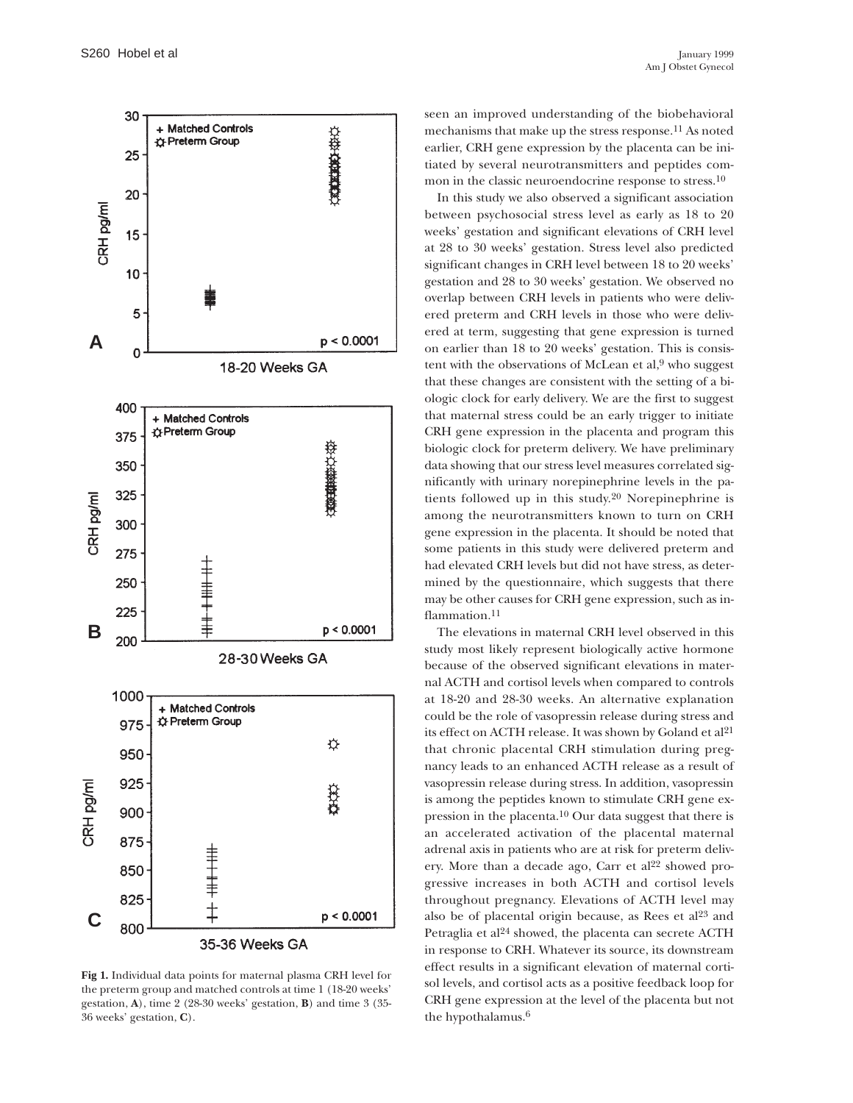

**Fig 1.** Individual data points for maternal plasma CRH level for the preterm group and matched controls at time 1 (18-20 weeks' gestation, **A**), time 2 (28-30 weeks' gestation, **B**) and time 3 (35- 36 weeks' gestation, **C**).

seen an improved understanding of the biobehavioral mechanisms that make up the stress response.11 As noted earlier, CRH gene expression by the placenta can be initiated by several neurotransmitters and peptides common in the classic neuroendocrine response to stress.10

In this study we also observed a significant association between psychosocial stress level as early as 18 to 20 weeks' gestation and significant elevations of CRH level at 28 to 30 weeks' gestation. Stress level also predicted significant changes in CRH level between 18 to 20 weeks' gestation and 28 to 30 weeks' gestation. We observed no overlap between CRH levels in patients who were delivered preterm and CRH levels in those who were delivered at term, suggesting that gene expression is turned on earlier than 18 to 20 weeks' gestation. This is consistent with the observations of McLean et al, $9$  who suggest that these changes are consistent with the setting of a biologic clock for early delivery. We are the first to suggest that maternal stress could be an early trigger to initiate CRH gene expression in the placenta and program this biologic clock for preterm delivery. We have preliminary data showing that our stress level measures correlated significantly with urinary norepinephrine levels in the patients followed up in this study.20 Norepinephrine is among the neurotransmitters known to turn on CRH gene expression in the placenta. It should be noted that some patients in this study were delivered preterm and had elevated CRH levels but did not have stress, as determined by the questionnaire, which suggests that there may be other causes for CRH gene expression, such as inflammation.<sup>11</sup>

The elevations in maternal CRH level observed in this study most likely represent biologically active hormone because of the observed significant elevations in maternal ACTH and cortisol levels when compared to controls at 18-20 and 28-30 weeks. An alternative explanation could be the role of vasopressin release during stress and its effect on ACTH release. It was shown by Goland et al<sup>21</sup> that chronic placental CRH stimulation during pregnancy leads to an enhanced ACTH release as a result of vasopressin release during stress. In addition, vasopressin is among the peptides known to stimulate CRH gene expression in the placenta.10 Our data suggest that there is an accelerated activation of the placental maternal adrenal axis in patients who are at risk for preterm delivery. More than a decade ago, Carr et al<sup>22</sup> showed progressive increases in both ACTH and cortisol levels throughout pregnancy. Elevations of ACTH level may also be of placental origin because, as Rees et al23 and Petraglia et al<sup>24</sup> showed, the placenta can secrete ACTH in response to CRH. Whatever its source, its downstream effect results in a significant elevation of maternal cortisol levels, and cortisol acts as a positive feedback loop for CRH gene expression at the level of the placenta but not the hypothalamus.6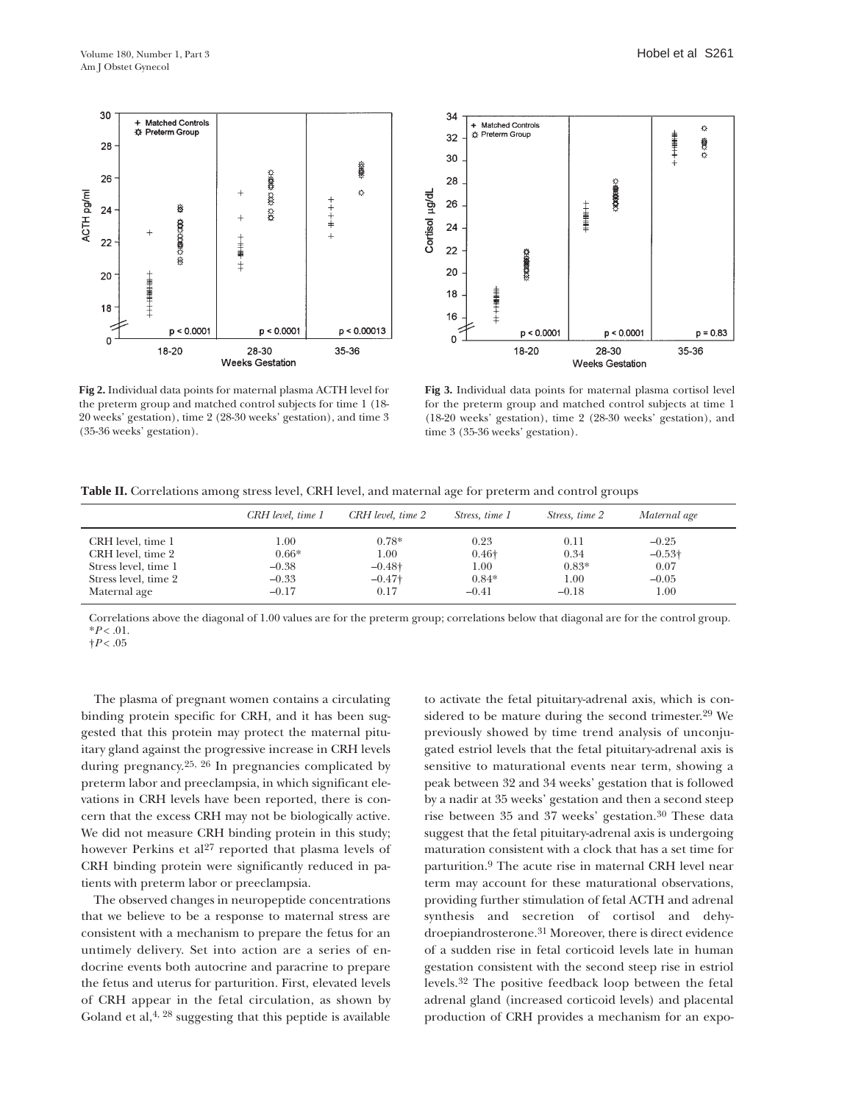



**Fig 2.** Individual data points for maternal plasma ACTH level for the preterm group and matched control subjects for time 1 (18- 20 weeks' gestation), time 2 (28-30 weeks' gestation), and time 3 (35-36 weeks' gestation).

**Fig 3.** Individual data points for maternal plasma cortisol level for the preterm group and matched control subjects at time 1 (18-20 weeks' gestation), time 2 (28-30 weeks' gestation), and time 3 (35-36 weeks' gestation).

|  | Table II. Correlations among stress level, CRH level, and maternal age for preterm and control groups |  |  |  |  |  |  |  |
|--|-------------------------------------------------------------------------------------------------------|--|--|--|--|--|--|--|
|--|-------------------------------------------------------------------------------------------------------|--|--|--|--|--|--|--|

|                      | CRH level, time 1 | CRH level, time 2 | Stress, time 1 | Stress, time 2 | Maternal age   |
|----------------------|-------------------|-------------------|----------------|----------------|----------------|
| CRH level, time 1    | 00.1              | $0.78*$           | 0.23           | 0.11           | $-0.25$        |
| CRH level, time 2    | $0.66*$           | 1.00              | $0.46\dagger$  | 0.34           | $-0.53\dagger$ |
| Stress level, time 1 | $-0.38$           | $-0.48\dagger$    | 1.00           | $0.83*$        | 0.07           |
| Stress level, time 2 | $-0.33$           | $-0.47\dagger$    | $0.84*$        | 1.00           | $-0.05$        |
| Maternal age         | $-0.17$           | 0.17              | $-0.41$        | $-0.18$        | $1.00\,$       |

Correlations above the diagonal of 1.00 values are for the preterm group; correlations below that diagonal are for the control group.  $*P < .01$ .

 $\dagger P$  < .05

The plasma of pregnant women contains a circulating binding protein specific for CRH, and it has been suggested that this protein may protect the maternal pituitary gland against the progressive increase in CRH levels during pregnancy.25, 26 In pregnancies complicated by preterm labor and preeclampsia, in which significant elevations in CRH levels have been reported, there is concern that the excess CRH may not be biologically active. We did not measure CRH binding protein in this study; however Perkins et al<sup>27</sup> reported that plasma levels of CRH binding protein were significantly reduced in patients with preterm labor or preeclampsia.

The observed changes in neuropeptide concentrations that we believe to be a response to maternal stress are consistent with a mechanism to prepare the fetus for an untimely delivery. Set into action are a series of endocrine events both autocrine and paracrine to prepare the fetus and uterus for parturition. First, elevated levels of CRH appear in the fetal circulation, as shown by Goland et al, $4, 28$  suggesting that this peptide is available

to activate the fetal pituitary-adrenal axis, which is considered to be mature during the second trimester.29 We previously showed by time trend analysis of unconjugated estriol levels that the fetal pituitary-adrenal axis is sensitive to maturational events near term, showing a peak between 32 and 34 weeks' gestation that is followed by a nadir at 35 weeks' gestation and then a second steep rise between 35 and 37 weeks' gestation.30 These data suggest that the fetal pituitary-adrenal axis is undergoing maturation consistent with a clock that has a set time for parturition.9 The acute rise in maternal CRH level near term may account for these maturational observations, providing further stimulation of fetal ACTH and adrenal synthesis and secretion of cortisol and dehydroepiandrosterone.31 Moreover, there is direct evidence of a sudden rise in fetal corticoid levels late in human gestation consistent with the second steep rise in estriol levels.32 The positive feedback loop between the fetal adrenal gland (increased corticoid levels) and placental production of CRH provides a mechanism for an expo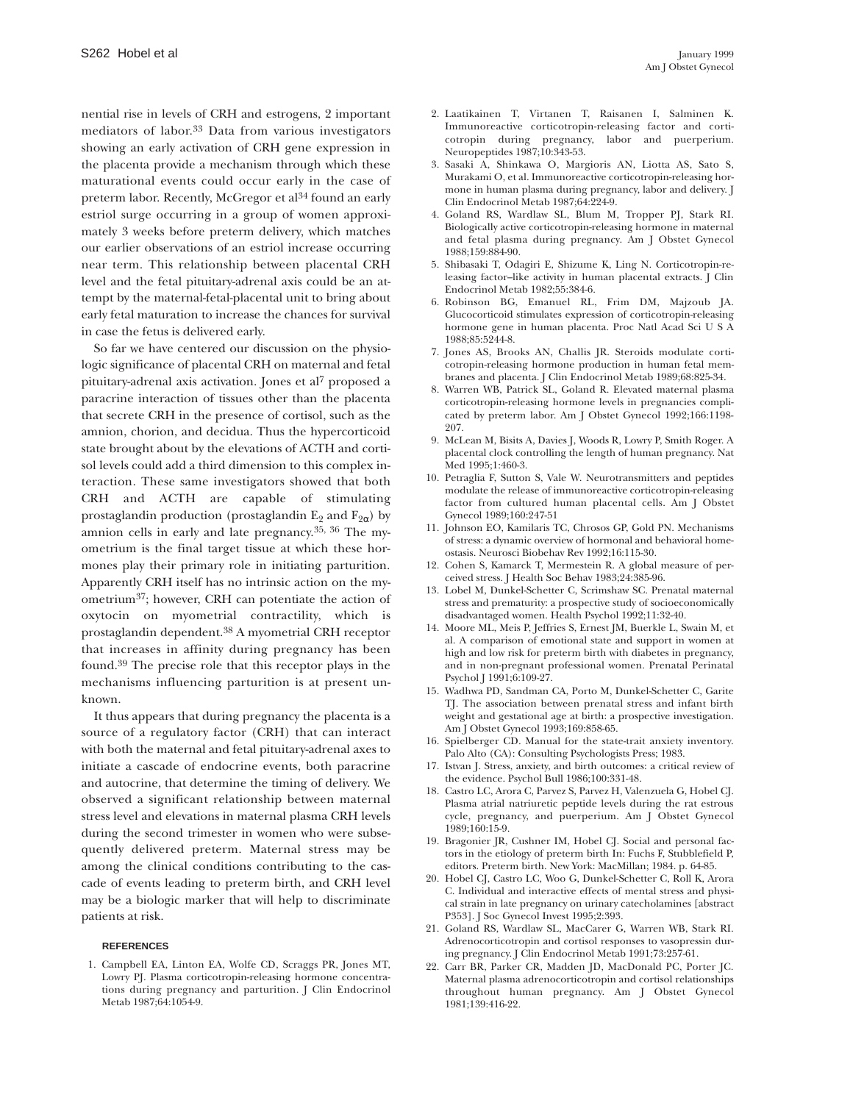nential rise in levels of CRH and estrogens, 2 important mediators of labor.33 Data from various investigators showing an early activation of CRH gene expression in the placenta provide a mechanism through which these maturational events could occur early in the case of preterm labor. Recently, McGregor et al<sup>34</sup> found an early estriol surge occurring in a group of women approximately 3 weeks before preterm delivery, which matches our earlier observations of an estriol increase occurring near term. This relationship between placental CRH level and the fetal pituitary-adrenal axis could be an attempt by the maternal-fetal-placental unit to bring about early fetal maturation to increase the chances for survival in case the fetus is delivered early.

So far we have centered our discussion on the physiologic significance of placental CRH on maternal and fetal pituitary-adrenal axis activation. Jones et al7 proposed a paracrine interaction of tissues other than the placenta that secrete CRH in the presence of cortisol, such as the amnion, chorion, and decidua. Thus the hypercorticoid state brought about by the elevations of ACTH and cortisol levels could add a third dimension to this complex interaction. These same investigators showed that both CRH and ACTH are capable of stimulating prostaglandin production (prostaglandin  $E_2$  and  $F_{2\alpha}$ ) by amnion cells in early and late pregnancy.35, 36 The myometrium is the final target tissue at which these hormones play their primary role in initiating parturition. Apparently CRH itself has no intrinsic action on the myometrium37; however, CRH can potentiate the action of oxytocin on myometrial contractility, which is prostaglandin dependent.38 A myometrial CRH receptor that increases in affinity during pregnancy has been found.39 The precise role that this receptor plays in the mechanisms influencing parturition is at present unknown.

It thus appears that during pregnancy the placenta is a source of a regulatory factor (CRH) that can interact with both the maternal and fetal pituitary-adrenal axes to initiate a cascade of endocrine events, both paracrine and autocrine, that determine the timing of delivery. We observed a significant relationship between maternal stress level and elevations in maternal plasma CRH levels during the second trimester in women who were subsequently delivered preterm. Maternal stress may be among the clinical conditions contributing to the cascade of events leading to preterm birth, and CRH level may be a biologic marker that will help to discriminate patients at risk.

#### **REFERENCES**

1. Campbell EA, Linton EA, Wolfe CD, Scraggs PR, Jones MT, Lowry PJ. Plasma corticotropin-releasing hormone concentrations during pregnancy and parturition. J Clin Endocrinol Metab 1987;64:1054-9.

- 2. Laatikainen T, Virtanen T, Raisanen I, Salminen K. Immunoreactive corticotropin-releasing factor and corticotropin during pregnancy, labor and puerperium. Neuropeptides 1987;10:343-53.
- 3. Sasaki A, Shinkawa O, Margioris AN, Liotta AS, Sato S, Murakami O, et al. Immunoreactive corticotropin-releasing hormone in human plasma during pregnancy, labor and delivery. J Clin Endocrinol Metab 1987;64:224-9.
- 4. Goland RS, Wardlaw SL, Blum M, Tropper PJ, Stark RI. Biologically active corticotropin-releasing hormone in maternal and fetal plasma during pregnancy. Am J Obstet Gynecol 1988;159:884-90.
- 5. Shibasaki T, Odagiri E, Shizume K, Ling N. Corticotropin-releasing factor–like activity in human placental extracts. J Clin Endocrinol Metab 1982;55:384-6.
- 6. Robinson BG, Emanuel RL, Frim DM, Majzoub JA. Glucocorticoid stimulates expression of corticotropin-releasing hormone gene in human placenta. Proc Natl Acad Sci U S A 1988;85:5244-8.
- 7. Jones AS, Brooks AN, Challis JR. Steroids modulate corticotropin-releasing hormone production in human fetal membranes and placenta. J Clin Endocrinol Metab 1989;68:825-34.
- 8. Warren WB, Patrick SL, Goland R. Elevated maternal plasma corticotropin-releasing hormone levels in pregnancies complicated by preterm labor. Am J Obstet Gynecol 1992;166:1198- 207.
- 9. McLean M, Bisits A, Davies J, Woods R, Lowry P, Smith Roger. A placental clock controlling the length of human pregnancy. Nat Med 1995;1:460-3.
- 10. Petraglia F, Sutton S, Vale W. Neurotransmitters and peptides modulate the release of immunoreactive corticotropin-releasing factor from cultured human placental cells. Am J Obstet Gynecol 1989;160:247-51
- 11. Johnson EO, Kamilaris TC, Chrosos GP, Gold PN. Mechanisms of stress: a dynamic overview of hormonal and behavioral homeostasis. Neurosci Biobehav Rev 1992;16:115-30.
- 12. Cohen S, Kamarck T, Mermestein R. A global measure of perceived stress. J Health Soc Behav 1983;24:385-96.
- 13. Lobel M, Dunkel-Schetter C, Scrimshaw SC. Prenatal maternal stress and prematurity: a prospective study of socioeconomically disadvantaged women. Health Psychol 1992;11:32-40.
- 14. Moore ML, Meis P, Jeffries S, Ernest JM, Buerkle L, Swain M, et al. A comparison of emotional state and support in women at high and low risk for preterm birth with diabetes in pregnancy, and in non-pregnant professional women. Prenatal Perinatal Psychol J 1991;6:109-27.
- 15. Wadhwa PD, Sandman CA, Porto M, Dunkel-Schetter C, Garite TJ. The association between prenatal stress and infant birth weight and gestational age at birth: a prospective investigation. Am J Obstet Gynecol 1993;169:858-65.
- 16. Spielberger CD. Manual for the state-trait anxiety inventory. Palo Alto (CA): Consulting Psychologists Press; 1983.
- 17. Istvan J. Stress, anxiety, and birth outcomes: a critical review of the evidence. Psychol Bull 1986;100:331-48.
- 18. Castro LC, Arora C, Parvez S, Parvez H, Valenzuela G, Hobel CJ. Plasma atrial natriuretic peptide levels during the rat estrous cycle, pregnancy, and puerperium. Am J Obstet Gynecol 1989;160:15-9.
- 19. Bragonier JR, Cushner IM, Hobel CJ. Social and personal factors in the etiology of preterm birth In: Fuchs F, Stubblefield P, editors. Preterm birth. New York: MacMillan; 1984. p. 64-85.
- 20. Hobel CJ, Castro LC, Woo G, Dunkel-Schetter C, Roll K, Arora C. Individual and interactive effects of mental stress and physical strain in late pregnancy on urinary catecholamines [abstract P353]. J Soc Gynecol Invest 1995;2:393.
- 21. Goland RS, Wardlaw SL, MacCarer G, Warren WB, Stark RI. Adrenocorticotropin and cortisol responses to vasopressin during pregnancy. J Clin Endocrinol Metab 1991;73:257-61.
- 22. Carr BR, Parker CR, Madden JD, MacDonald PC, Porter JC. Maternal plasma adrenocorticotropin and cortisol relationships throughout human pregnancy. Am J Obstet Gynecol 1981;139:416-22.